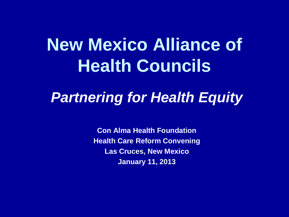## **New Mexico Alliance of Health Councils**

#### *Partnering for Health Equity*

**Con Alma Health Foundation Health Care Reform Convening Las Cruces, New Mexico January 11, 2013**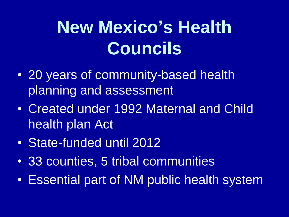# **New Mexico's Health Councils**

- 20 years of community-based health planning and assessment
- Created under 1992 Maternal and Child health plan Act
- State-funded until 2012
- 33 counties, 5 tribal communities
- Essential part of NM public health system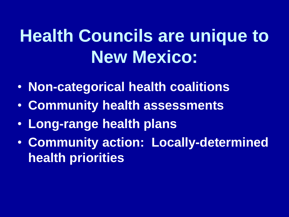# **Health Councils are unique to New Mexico:**

- **Non-categorical health coalitions**
- **Community health assessments**
- **Long-range health plans**
- **Community action: Locally-determined health priorities**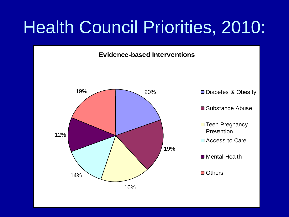## Health Council Priorities, 2010:

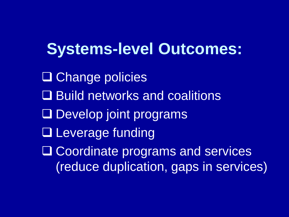**Systems-level Outcomes:** □ Change policies **Build networks and coalitions** Develop joint programs **□ Leverage funding** □ Coordinate programs and services (reduce duplication, gaps in services)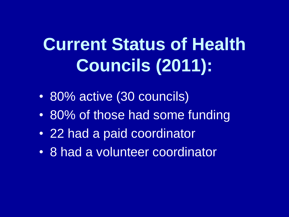# **Current Status of Health Councils (2011):**

- 80% active (30 councils)
- 80% of those had some funding
- 22 had a paid coordinator
- 8 had a volunteer coordinator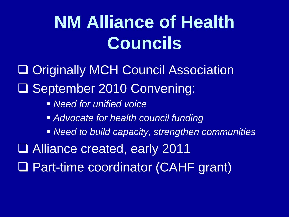# **NM Alliance of Health Councils**

□ Originally MCH Council Association September 2010 Convening:

- *Need for unified voice*
- *Advocate for health council funding*
- *Need to build capacity, strengthen communities*

Alliance created, early 2011

□ Part-time coordinator (CAHF grant)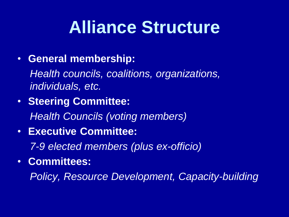#### **Alliance Structure**

#### • **General membership:**

*Health councils, coalitions, organizations, individuals, etc.*

• **Steering Committee:** 

*Health Councils (voting members)*

• **Executive Committee:** 

*7-9 elected members (plus ex-officio)*

• **Committees:** 

*Policy, Resource Development, Capacity-building*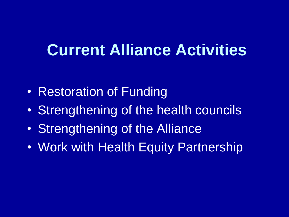#### **Current Alliance Activities**

- Restoration of Funding
- Strengthening of the health councils
- Strengthening of the Alliance
- Work with Health Equity Partnership